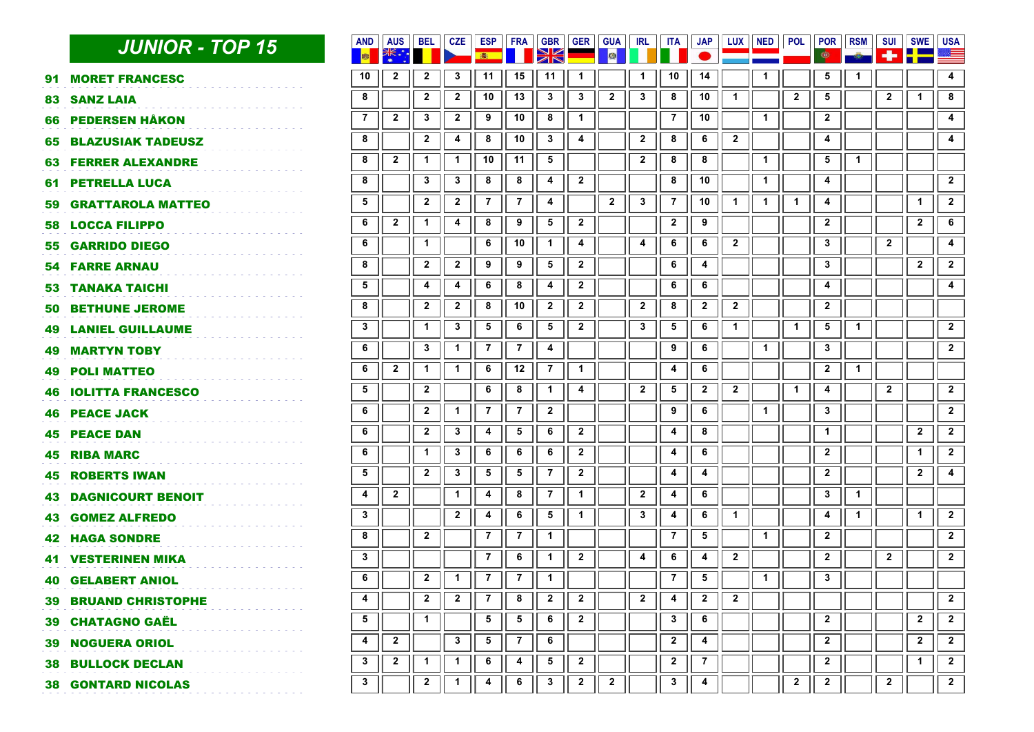| <b>JUNIOR - TOP 15</b> | <b>ISS</b>                                                                                                                                                                                                                                                                                                                                                                                                                                                                                                                                                                                                                                                                                                                                                                                                               | <b>AUS</b>     | <b>BEL</b>              | <b>CZE</b>              | 編              |                | <b>GBR</b>      |                         | 國              | <b>IRL</b>              |                | <b>JAP</b>                   |                |              |              | POR<br>فا       | <b>RSM</b>   | <b>SUI</b><br>÷ | <b>SWE</b><br>里基 | <b>USA</b>              |
|------------------------|--------------------------------------------------------------------------------------------------------------------------------------------------------------------------------------------------------------------------------------------------------------------------------------------------------------------------------------------------------------------------------------------------------------------------------------------------------------------------------------------------------------------------------------------------------------------------------------------------------------------------------------------------------------------------------------------------------------------------------------------------------------------------------------------------------------------------|----------------|-------------------------|-------------------------|----------------|----------------|-----------------|-------------------------|----------------|-------------------------|----------------|------------------------------|----------------|--------------|--------------|-----------------|--------------|-----------------|------------------|-------------------------|
|                        | 10                                                                                                                                                                                                                                                                                                                                                                                                                                                                                                                                                                                                                                                                                                                                                                                                                       | $\mathbf{2}$   | $\mathbf{2}$            | 3                       | 11             | 15             | 11              | -1                      |                | 1                       | 10             | 14                           |                | 1            |              | 5               | 1            |                 |                  | 4                       |
|                        | 8                                                                                                                                                                                                                                                                                                                                                                                                                                                                                                                                                                                                                                                                                                                                                                                                                        |                | $\mathbf{2}$            | $\mathbf{2}$            | 10             | 13             | $\mathbf{3}$    | 3                       | $\overline{2}$ | $\mathbf{3}$            | 8              | 10                           | $\mathbf 1$    |              | $\mathbf{2}$ | 5               |              | $\mathbf{2}$    | $\mathbf{1}$     | 8                       |
|                        | $\overline{7}$                                                                                                                                                                                                                                                                                                                                                                                                                                                                                                                                                                                                                                                                                                                                                                                                           | $\mathbf{2}$   | $\mathbf{3}$            | $\mathbf{2}$            | 9              | 10             | 8               | $\ddot{1}$              |                |                         | $\overline{7}$ | 10                           |                | $\mathbf{1}$ |              | $\mathbf{2}$    |              |                 |                  | 4                       |
|                        | 8                                                                                                                                                                                                                                                                                                                                                                                                                                                                                                                                                                                                                                                                                                                                                                                                                        |                | $\mathbf{2}$            | 4                       | 8              | 10             | $\mathbf{3}$    | 4                       |                | $\overline{\mathbf{2}}$ | 8              | 6                            | $\overline{2}$ |              |              | 4               |              |                 |                  | 4                       |
|                        | 8                                                                                                                                                                                                                                                                                                                                                                                                                                                                                                                                                                                                                                                                                                                                                                                                                        | $\mathbf{2}$   | $\mathbf{1}$            | $\mathbf{1}$            | 10             | 11             | $5\phantom{.0}$ |                         |                | $\overline{2}$          | 8              | 8                            |                | $\mathbf{1}$ |              | 5               | $\mathbf{1}$ |                 |                  |                         |
|                        | 8                                                                                                                                                                                                                                                                                                                                                                                                                                                                                                                                                                                                                                                                                                                                                                                                                        |                | $\mathbf{3}$            | 3                       | 8              | 8              | 4               | $\overline{2}$          |                |                         | 8              | 10                           |                | $\mathbf{1}$ |              | 4               |              |                 |                  | $\mathbf{2}$            |
|                        | 5                                                                                                                                                                                                                                                                                                                                                                                                                                                                                                                                                                                                                                                                                                                                                                                                                        |                | $\overline{\mathbf{2}}$ | $\mathbf{2}$            | $\overline{7}$ | $\mathbf{7}$   | 4               |                         | $\mathbf{2}$   | 3                       | $\overline{7}$ | 10                           | 1              | $\mathbf{1}$ | $\mathbf{1}$ | 4               |              |                 | $\mathbf{1}$     | $\mathbf{2}$            |
|                        | 6                                                                                                                                                                                                                                                                                                                                                                                                                                                                                                                                                                                                                                                                                                                                                                                                                        | $\overline{2}$ | 1                       | 4                       | 8              | 9              | 5               | $\overline{2}$          |                |                         | $\mathbf{2}$   | 9                            |                |              |              | $\mathbf{2}$    |              |                 | $\mathbf{2}$     | 6                       |
|                        | 6                                                                                                                                                                                                                                                                                                                                                                                                                                                                                                                                                                                                                                                                                                                                                                                                                        |                | $\mathbf{1}$            |                         | 6              | 10             | $\mathbf{1}$    | 4                       |                | $\overline{\mathbf{4}}$ | 6              | 6                            | $\mathbf{2}$   |              |              | $\mathbf{3}$    |              | $\mathbf{2}$    |                  | 4                       |
|                        | 8                                                                                                                                                                                                                                                                                                                                                                                                                                                                                                                                                                                                                                                                                                                                                                                                                        |                | $\mathbf{2}$            | $\overline{\mathbf{2}}$ | 9              | 9              | 5               | $\mathbf{2}$            |                |                         | 6              | 4                            |                |              |              | 3               |              |                 | $\mathbf{2}$     | $\mathbf{2}$            |
|                        | 5                                                                                                                                                                                                                                                                                                                                                                                                                                                                                                                                                                                                                                                                                                                                                                                                                        |                | 4                       | 4                       | 6              | 8              | 4               | $\mathbf{2}$            |                |                         | 6              | 6                            |                |              |              | 4               |              |                 |                  | 4                       |
|                        | 8                                                                                                                                                                                                                                                                                                                                                                                                                                                                                                                                                                                                                                                                                                                                                                                                                        |                | $\overline{2}$          | $\mathbf{2}$            | 8              | 10             | $\overline{2}$  | $\mathbf{2}$            |                | $\overline{2}$          | 8              | $\mathbf{2}$                 | $\mathbf{2}$   |              |              | $\mathbf{2}$    |              |                 |                  |                         |
|                        | 3                                                                                                                                                                                                                                                                                                                                                                                                                                                                                                                                                                                                                                                                                                                                                                                                                        |                | 1                       | 3                       | 5              | 6              | 5               | $\mathbf{2}$            |                | 3                       | 5              | 6                            | $\mathbf{1}$   |              | $\mathbf{1}$ | 5               | $\mathbf{1}$ |                 |                  | $\overline{\mathbf{2}}$ |
|                        | 6                                                                                                                                                                                                                                                                                                                                                                                                                                                                                                                                                                                                                                                                                                                                                                                                                        |                | $\mathbf{3}$            | 1                       | $\overline{7}$ | $\mathbf{7}$   | 4               |                         |                |                         | 9              | 6                            |                | 1            |              | 3               |              |                 |                  | $\mathbf{2}$            |
|                        | 6                                                                                                                                                                                                                                                                                                                                                                                                                                                                                                                                                                                                                                                                                                                                                                                                                        | $\mathbf{2}$   | $\mathbf{1}$            | $\mathbf{1}$            | 6              | 12             | $\overline{7}$  | $\mathbf{1}$            |                |                         | 4              | 6                            |                |              |              | $\mathbf{2}$    | $\mathbf{1}$ |                 |                  |                         |
|                        | 5                                                                                                                                                                                                                                                                                                                                                                                                                                                                                                                                                                                                                                                                                                                                                                                                                        |                | $\mathbf{2}$            |                         | 6              | 8              | $\mathbf{1}$    | 4                       |                | $\overline{2}$          | 5              | $\mathbf{2}$                 | $\overline{2}$ |              | $\mathbf{1}$ | 4               |              | $\overline{2}$  |                  | $\mathbf{2}$            |
|                        | 6                                                                                                                                                                                                                                                                                                                                                                                                                                                                                                                                                                                                                                                                                                                                                                                                                        |                | $\mathbf{2}$            | 1                       | $\overline{7}$ | $\overline{7}$ | $\overline{2}$  |                         |                |                         | 9              | 6                            |                | $\mathbf{1}$ |              | 3               |              |                 |                  | $\mathbf{2}$            |
|                        | 6                                                                                                                                                                                                                                                                                                                                                                                                                                                                                                                                                                                                                                                                                                                                                                                                                        |                | $\mathbf{2}$            | 3                       | 4              | 5              | 6               | $\overline{\mathbf{2}}$ |                |                         | 4              | 8                            |                |              |              | 1               |              |                 | $\mathbf{2}$     | $\mathbf{2}$            |
|                        | 6                                                                                                                                                                                                                                                                                                                                                                                                                                                                                                                                                                                                                                                                                                                                                                                                                        |                | $\mathbf{1}$            | 3                       | 6              | 6              | 6               | $\mathbf{2}$            |                |                         | 4              | 6                            |                |              |              | $\mathbf{2}$    |              |                 | $\mathbf{1}$     | $\mathbf{2}$            |
|                        | 5                                                                                                                                                                                                                                                                                                                                                                                                                                                                                                                                                                                                                                                                                                                                                                                                                        |                | $\overline{2}$          | 3                       | 5              | 5              | $\overline{7}$  | $\mathbf{2}$            |                |                         | 4              | 4                            |                |              |              | $\mathbf{2}$    |              |                 | $\mathbf{2}$     | 4                       |
|                        | 4                                                                                                                                                                                                                                                                                                                                                                                                                                                                                                                                                                                                                                                                                                                                                                                                                        | $\mathbf{2}$   |                         | $\mathbf{1}$            | 4              | 8              | $\overline{7}$  | $\overline{1}$          |                | $\overline{2}$          | 4              | 6                            |                |              |              | 3               | $\mathbf{1}$ |                 |                  |                         |
|                        | 3                                                                                                                                                                                                                                                                                                                                                                                                                                                                                                                                                                                                                                                                                                                                                                                                                        |                |                         | $\mathbf{2}$            | 4              | 6              | 5               | $\mathbf{1}$            |                | $\mathbf{3}$            | 4              | 6                            | $\mathbf 1$    |              |              | 4               | $\mathbf{1}$ |                 | $\mathbf{1}$     | $\mathbf{2}$            |
|                        | 8                                                                                                                                                                                                                                                                                                                                                                                                                                                                                                                                                                                                                                                                                                                                                                                                                        |                | $\mathbf{2}$            |                         | $\overline{7}$ | $\overline{7}$ | $\mathbf{1}$    |                         |                |                         | $\overline{7}$ | 5                            |                | $\mathbf{1}$ |              | $\mathbf{2}$    |              |                 |                  | $\overline{2}$          |
|                        | $\mathbf{3}$                                                                                                                                                                                                                                                                                                                                                                                                                                                                                                                                                                                                                                                                                                                                                                                                             |                |                         |                         | $\overline{7}$ | 6              | $\mathbf{1}$    | $\mathbf{2}$            |                | 4                       | 6              | 4                            | $\mathbf{2}$   |              |              | $\mathbf{2}$    |              | $\mathbf{2}$    |                  | $\mathbf{2}$            |
|                        | 6                                                                                                                                                                                                                                                                                                                                                                                                                                                                                                                                                                                                                                                                                                                                                                                                                        |                | $\mathbf{2}$            | $\mathbf 1$             | $\overline{7}$ | $\overline{7}$ | $\mathbf{1}$    |                         |                |                         | $\overline{7}$ | 5                            |                | $\mathbf{1}$ |              | $\mathbf{3}$    |              |                 |                  |                         |
|                        | 4                                                                                                                                                                                                                                                                                                                                                                                                                                                                                                                                                                                                                                                                                                                                                                                                                        |                | $\overline{2}$          | $\overline{2}$          | $\overline{7}$ | 8              | $\mathbf{2}$    | $\overline{2}$          |                | $\overline{2}$          | 4              | $\mathbf{2}$                 | $\overline{2}$ |              |              |                 |              |                 |                  | $\overline{2}$          |
|                        | $\overline{\mathbf{5}}$                                                                                                                                                                                                                                                                                                                                                                                                                                                                                                                                                                                                                                                                                                                                                                                                  |                | $\mathbf{1}$            |                         | 5              | 5              | 6               | $\overline{2}$          |                |                         | 3              | 6                            |                |              |              | $\mathbf{2}$    |              |                 | $\mathbf{2}$     | $\mathbf{2}$            |
|                        | 4                                                                                                                                                                                                                                                                                                                                                                                                                                                                                                                                                                                                                                                                                                                                                                                                                        | $\mathbf{2}$   |                         | $\mathbf{3}$            | 5              | $\overline{7}$ | 6               |                         |                |                         | $\mathbf{2}$   | 4                            |                |              |              | $\mathbf{2}$    |              |                 | $\mathbf{2}$     | $\mathbf{2}$            |
|                        | 3                                                                                                                                                                                                                                                                                                                                                                                                                                                                                                                                                                                                                                                                                                                                                                                                                        | $\overline{2}$ | $\mathbf{1}$            | $\mathbf{1}$            | 6              | 4              | 5               | $\overline{2}$          |                |                         | $\mathbf{2}$   | $7^{\circ}$                  |                |              |              | $\mathbf{2}$    |              |                 | $\mathbf{1}$     | $\overline{2}$          |
|                        | 3                                                                                                                                                                                                                                                                                                                                                                                                                                                                                                                                                                                                                                                                                                                                                                                                                        |                | $\mathbf{2}$            | 1                       | 4              | 6              | $\mathbf{3}$    | $\mathbf{2}$            | $\mathbf{2}$   |                         | 3              | 4                            |                |              | $\mathbf{2}$ | $\mathbf{2}$    |              | $\mathbf{2}$    |                  | $\mathbf{2}$            |
|                        | 91 MORET FRANCESC<br><b>83 SANZ LAIA</b><br><b>66 PEDERSEN HÅKON</b><br><b>65 BLAZUSIAK TADEUSZ</b><br><b>63 FERRER ALEXANDRE</b><br><b>61 PETRELLA LUCA</b><br><b>GRATTAROLA MATTEO</b><br><b>58 LOCCA FILIPPO</b><br><b>55 GARRIDO DIEGO</b><br><b>54 FARRE ARNAU</b><br><b>TANAKA TAICHI</b><br><b>50 BETHUNE JEROME</b><br><b>LANIEL GUILLAUME</b><br><b>MARTYN TOBY</b><br><b>49 POLI MATTEO</b><br><b>46 IOLITTA FRANCESCO</b><br><b>46 PEACE JACK</b><br><b>45 PEACE DAN</b><br><b>45 RIBA MARC</b><br><b>45 ROBERTS IWAN</b><br><b>43 DAGNICOURT BENOIT</b><br><b>43 GOMEZ ALFREDO</b><br><b>HAGA SONDRE</b><br><b>VESTERINEN MIKA</b><br><b>40 GELABERT ANIOL</b><br><b>39 BRUAND CHRISTOPHE</b><br><b>39 CHATAGNO GAËL</b><br><b>39 NOGUERA ORIOL</b><br><b>38 BULLOCK DECLAN</b><br><b>38 GONTARD NICOLAS</b> |                | AND                     |                         |                |                |                 | ESP FRA                 | XK             | <b>GER</b>              | $ $ GUA $ $    | $\overline{\mathsf{I}}$ ital |                |              |              | LUX   NED   POL |              |                 |                  |                         |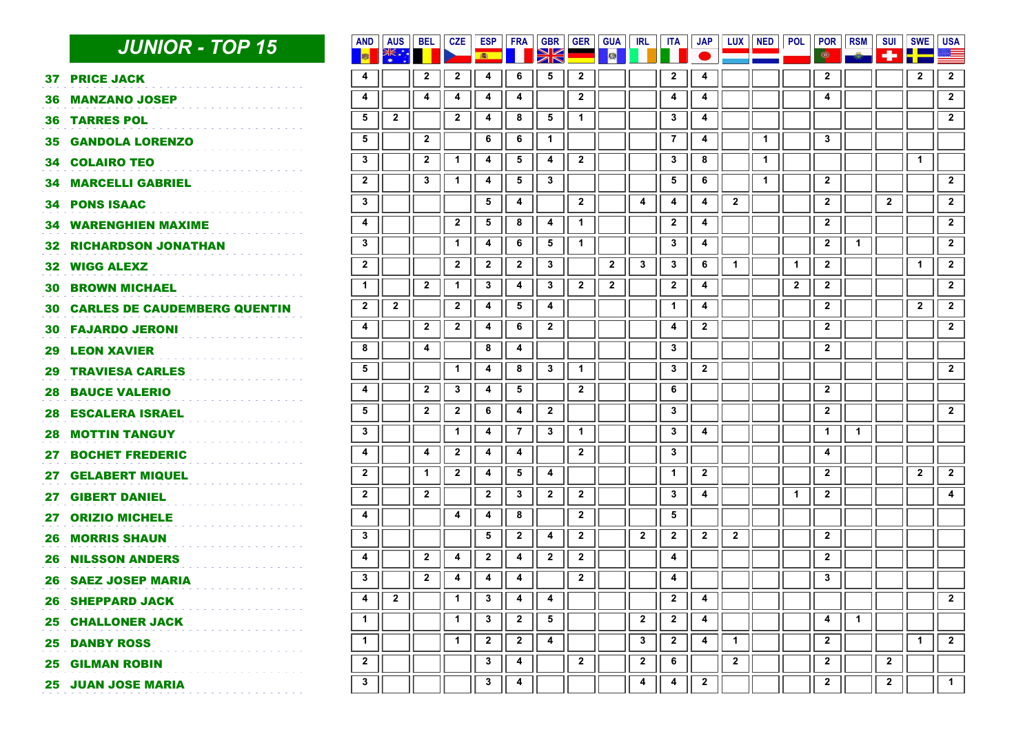|     | <b>JUNIOR - TOP 15</b>                 | <b>AND</b><br>圖         | <b>AUS</b>   | BEL                     | <b>CZE</b>              | ESP<br>高                | <b>FRA</b>              | <b>GBR</b><br>XK        | <b>GER</b>     | <b>GUA</b><br>图 | <b>IRL</b>              | ITA            | <b>JAP</b>              |              | LUX NED      | <b>POL</b>   | <b>POR</b><br>¢ | <b>RSM</b>   | <b>SUI</b><br>÷ | <b>SWE</b>     | <b>USA</b>              |
|-----|----------------------------------------|-------------------------|--------------|-------------------------|-------------------------|-------------------------|-------------------------|-------------------------|----------------|-----------------|-------------------------|----------------|-------------------------|--------------|--------------|--------------|-----------------|--------------|-----------------|----------------|-------------------------|
|     | <b>37 PRICE JACK</b>                   | 4                       |              | $\mathbf{2}$            | $\mathbf{2}$            | 4                       | 6                       | 5                       | $\mathbf{2}$   |                 |                         | $\mathbf{2}$   | 4                       |              |              |              | $\mathbf{2}$    |              |                 | $\mathbf{2}$   | $\overline{\mathbf{2}}$ |
|     | <b>36 MANZANO JOSEP</b>                | 4                       |              | 4                       | 4                       | 4                       | 4                       |                         | $\mathbf{2}$   |                 |                         | 4              | 4                       |              |              |              | 4               |              |                 |                | $\overline{2}$          |
|     | <b>36 TARRES POL</b>                   | 5                       | $2^{\circ}$  |                         | $2^{\circ}$             | 4                       | 8                       | $5\phantom{.0}$         | $\mathbf 1$    |                 |                         | $\mathbf{3}$   | 4                       |              |              |              |                 |              |                 |                | $\overline{2}$          |
|     | <b>35 GANDOLA LORENZO</b>              | 5                       |              | $\overline{\mathbf{2}}$ |                         | 6                       | 6                       | $\mathbf{1}$            |                |                 |                         | $\overline{7}$ | $\overline{\mathbf{4}}$ |              | $\mathbf{1}$ |              | $\mathbf{3}$    |              |                 |                |                         |
|     | <b>34 COLAIRO TEO</b>                  | $\mathbf{3}$            |              | $\mathbf{2}$            | $\mathbf{1}$            | 4                       | 5                       | 4                       | $\overline{2}$ |                 |                         | 3              | 8                       |              | $\mathbf{1}$ |              |                 |              |                 | $\mathbf 1$    |                         |
|     | <b>34 MARCELLI GABRIEL</b>             | $2^{\circ}$             |              | $\mathbf{3}$            | $\mathbf{1}$            | 4                       | $5\overline{5}$         | $\mathbf{3}$            |                |                 |                         | 5              | 6                       |              | $\mathbf{1}$ |              | $\mathbf{2}$    |              |                 |                | $\overline{2}$          |
|     | <b>34 PONS ISAAC</b>                   | $\mathbf{3}$            |              |                         |                         | 5                       | 4                       |                         | $\overline{2}$ |                 | $\overline{\mathbf{4}}$ | 4              | 4                       | $\mathbf{2}$ |              |              | $\mathbf{2}$    |              | $\mathbf{2}$    |                | $\mathbf{2}$            |
|     | <b>34 WARENGHIEN MAXIME</b>            | 4                       |              |                         | $\overline{\mathbf{2}}$ | 5                       | 8                       | $\overline{\mathbf{4}}$ | $\overline{1}$ |                 |                         | $\mathbf{2}$   | 4                       |              |              |              | $\mathbf{2}$    |              |                 |                | $\overline{2}$          |
|     | <b>32 RICHARDSON JONATHAN</b>          | $\mathbf{3}$            |              |                         | $\mathbf 1$             | $\overline{\mathbf{4}}$ | 6                       | $5\phantom{.0}$         | $\mathbf{1}$   |                 |                         | $\mathbf{3}$   | $\overline{\mathbf{4}}$ |              |              |              | $\mathbf{2}$    | $\mathbf{1}$ |                 |                | $\overline{2}$          |
|     | <b>32 WIGG ALEXZ</b>                   | $\mathbf{2}$            |              |                         | $\mathbf{2}$            | $\mathbf{2}$            | $\overline{2}$          | $\mathbf{3}$            |                | $\mathbf{2}$    | $\mathbf{3}$            | $\mathbf{3}$   | 6                       | $\mathbf{1}$ |              | $\mathbf{1}$ | $\mathbf{2}$    |              |                 | $\mathbf{1}$   | $\mathbf{2}$            |
| 30. | <b>BROWN MICHAEL</b>                   | $\mathbf{1}$            |              | $\mathbf{2}$            | $\mathbf{1}$            | $\mathbf{3}$            | $\overline{4}$          | $\mathbf{3}$            | $\overline{2}$ | $\mathbf{2}$    |                         | $\mathbf{2}$   | $\overline{\mathbf{4}}$ |              |              | $\mathbf{2}$ | $\mathbf{2}$    |              |                 |                | $\overline{2}$          |
|     | <b>30 CARLES DE CAUDEMBERG QUENTIN</b> | $\overline{2}$          | $2^{\circ}$  |                         | $\overline{2}$          | 4                       | $5\overline{5}$         | 4                       |                |                 |                         | $\mathbf{1}$   | $\overline{4}$          |              |              |              | $\mathbf{2}$    |              |                 | $\overline{2}$ | $\overline{2}$          |
|     | <b>30 FAJARDO JERONI</b>               | 4                       |              | $\mathbf{2}$            | $\mathbf{2}$            | 4                       | 6                       | $\mathbf{2}$            |                |                 |                         | 4              | $\overline{\mathbf{2}}$ |              |              |              | $\mathbf{2}$    |              |                 |                | $\overline{2}$          |
| 29  | <b>LEON XAVIER</b>                     | 8                       |              | 4                       |                         | 8                       | 4                       |                         |                |                 |                         | 3              |                         |              |              |              | $\mathbf{2}$    |              |                 |                |                         |
| 29. | <b>TRAVIESA CARLES</b>                 | $\sqrt{5}$              |              |                         | $\mathbf 1$             | 4                       | 8                       | $\mathbf{3}$            | $\mathbf{1}$   |                 |                         | $\mathbf{3}$   | $2^{\circ}$             |              |              |              |                 |              |                 |                | $\overline{2}$          |
| 28. | <b>BAUCE VALERIO</b>                   | 4                       |              | $\overline{2}$          | $\mathbf{3}$            | 4                       | $\overline{\mathbf{5}}$ |                         | $\mathbf{2}$   |                 |                         | 6              |                         |              |              |              | $\mathbf{2}$    |              |                 |                |                         |
| 28. | <b>ESCALERA ISRAEL</b>                 | 5                       |              | $\mathbf{2}$            | $\mathbf{2}$            | 6                       | 4                       | $\mathbf{2}$            |                |                 |                         | 3              |                         |              |              |              | $\mathbf{2}$    |              |                 |                | $\overline{2}$          |
| 28. | <b>MOTTIN TANGUY</b>                   | $\mathbf{3}$            |              |                         | $\mathbf{1}$            | 4                       | $\overline{7}$          | $\mathbf{3}$            | $\mathbf{1}$   |                 |                         | 3              | $\overline{\mathbf{4}}$ |              |              |              | $\mathbf{1}$    | $\mathbf 1$  |                 |                |                         |
| 27. | <b>BOCHET FREDERIC</b>                 | $\overline{\mathbf{4}}$ |              | 4                       | $\mathbf{2}$            | 4                       | 4                       |                         | $\overline{2}$ |                 |                         | $\mathbf{3}$   |                         |              |              |              | 4               |              |                 |                |                         |
| 27. | <b>GELABERT MIQUEL</b>                 | $\mathbf{2}$            |              | $\mathbf{1}$            | $\overline{2}$          | 4                       | 5                       | 4                       |                |                 |                         | $\mathbf{1}$   | $\mathbf{2}$            |              |              |              | $\mathbf{2}$    |              |                 | $\mathbf{2}$   | $\overline{2}$          |
| 27  | <b>GIBERT DANIEL</b>                   | $\mathbf{2}$            |              | $\overline{2}$          |                         | $\overline{2}$          | $\mathbf{3}$            | $\overline{2}$          | $\mathbf{2}$   |                 |                         | $\mathbf{3}$   | $\overline{\mathbf{4}}$ |              |              | $\mathbf{1}$ | $\mathbf{2}$    |              |                 |                | $\overline{\mathbf{4}}$ |
|     | 27 ORIZIO MICHELE                      | 4                       |              |                         | $\overline{\mathbf{4}}$ | 4                       | 8                       |                         | $\mathbf{2}$   |                 |                         | $\sqrt{5}$     |                         |              |              |              |                 |              |                 |                |                         |
|     | <b>26 MORRIS SHAUN</b>                 | $\mathbf{3}$            |              |                         |                         | $5\phantom{.0}$         | $\overline{2}$          | 4                       | $\overline{2}$ |                 | $\overline{2}$          | $\mathbf{2}$   | $\mathbf{2}$            | $\mathbf{2}$ |              |              | $\mathbf{2}$    |              |                 |                |                         |
|     | <b>26 NILSSON ANDERS</b>               | 4                       |              | $\mathbf{2}$            | 4                       | $\mathbf{2}$            | 4                       | $\mathbf{2}$            | $2^{\circ}$    |                 |                         | 4              |                         |              |              |              | $\mathbf{2}$    |              |                 |                |                         |
|     | <b>26 SAEZ JOSEP MARIA</b>             | $\mathbf{3}$            |              | $\mathbf{2}$            | 4                       | 4                       | 4                       |                         | $\mathbf{2}$   |                 |                         | 4              |                         |              |              |              | $\mathbf{3}$    |              |                 |                |                         |
|     | <b>26 SHEPPARD JACK</b>                | 4                       | $\mathbf{2}$ |                         | $\mathbf{1}$            | 3                       | 4                       | 4                       |                |                 |                         | $\mathbf{2}$   | 4                       |              |              |              |                 |              |                 |                | $\mathbf{2}$            |
|     | <b>25 CHALLONER JACK</b>               | $\mathbf{1}$            |              |                         | $\mathbf 1$             | $\mathbf{3}$            | $\overline{2}$          | 5                       |                |                 | $\overline{2}$          | $\overline{2}$ | 4                       |              |              |              | 4               | $\mathbf 1$  |                 |                |                         |
|     | <b>25 DANBY ROSS</b>                   | $\mathbf{1}$            |              |                         | $\mathbf{1}$            | $\overline{2}$          | $\mathbf{2}$            | 4                       |                |                 | $\mathbf{3}$            | $\mathbf{2}$   | 4                       | $\mathbf{1}$ |              |              | $\mathbf{2}$    |              |                 | $\mathbf{1}$   | $\overline{2}$          |
|     | <b>25 GILMAN ROBIN</b>                 | $\mathbf{2}$            |              |                         |                         | $\mathbf{3}$            | 4                       |                         | $\overline{2}$ |                 | $\mathbf{2}$            | 6              |                         | $\mathbf{2}$ |              |              | $\mathbf{2}$    |              | $\mathbf{2}$    |                |                         |
|     | <b>25 JUAN JOSE MARIA</b>              | $\mathbf{3}$            |              |                         |                         | 3                       | 4                       |                         |                |                 | 4                       | 4              | $\mathbf{2}$            |              |              |              | $\mathbf{2}$    |              | $\mathbf{2}$    |                | $\mathbf 1$             |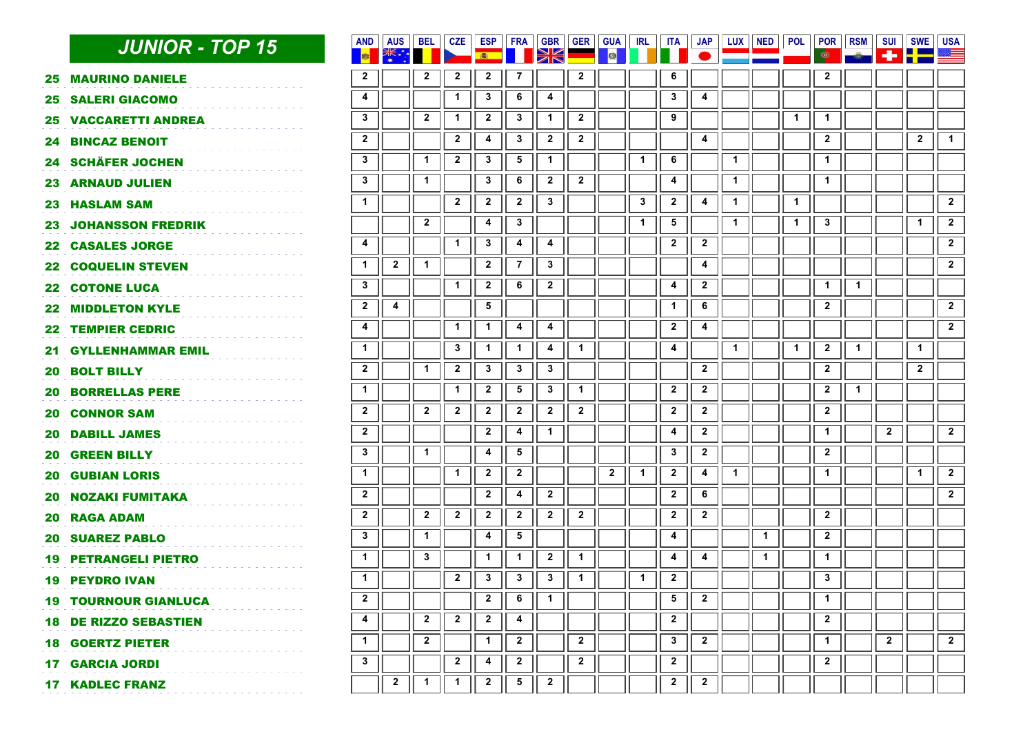|     | <b>JUNIOR - TOP 15</b>      | <b>AND</b><br><b>B</b>  | <b>AUS</b><br>* *<br>*<br>* | <b>BEL</b>     | <b>CZE</b>   | <b>ESP</b><br>画         | FRA             | <b>GBR</b><br>XK | <b>GER</b>   | <b>GUA</b><br>图 | <b>IRL</b>   | <b>ITA</b>              | <b>JAP</b>              | <b>LUX</b>   | <b>NED</b>   | <b>POL</b>   | POR<br>ф     | <b>RSM</b>   | SUI<br>÷                | <b>SWE</b>              | <b>USA</b><br>≋≡        |
|-----|-----------------------------|-------------------------|-----------------------------|----------------|--------------|-------------------------|-----------------|------------------|--------------|-----------------|--------------|-------------------------|-------------------------|--------------|--------------|--------------|--------------|--------------|-------------------------|-------------------------|-------------------------|
| 25. | <b>MAURINO DANIELE</b>      | $\mathbf{2}$            |                             | $\mathbf{2}$   | $\mathbf{2}$ | $\mathbf{2}$            | $\overline{7}$  |                  | $\mathbf{2}$ |                 |              | 6                       |                         |              |              |              | $\mathbf{2}$ |              |                         |                         |                         |
| 25  | <b>SALERI GIACOMO</b>       | $\overline{\mathbf{4}}$ |                             |                | $\mathbf{1}$ | $\mathbf{3}$            | 6               | 4                |              |                 |              | 3                       | 4                       |              |              |              |              |              |                         |                         |                         |
| 25  | <b>VACCARETTI ANDREA</b>    | $\mathbf{3}$            |                             | $\mathbf{2}$   | $\mathbf{1}$ | $\mathbf{2}$            | $\mathbf{3}$    | $\mathbf{1}$     | $\mathbf{2}$ |                 |              | 9                       |                         |              |              | $\mathbf{1}$ | $\mathbf{1}$ |              |                         |                         |                         |
| 24. | <b>BINCAZ BENOIT</b>        | $\mathbf{2}$            |                             |                | $\mathbf{2}$ | 4                       | $\mathbf{3}$    | $\mathbf{2}$     | $\mathbf{2}$ |                 |              |                         | $\overline{\mathbf{4}}$ |              |              |              | $\mathbf{2}$ |              |                         | $\mathbf{2}$            | $\mathbf{1}$            |
|     | 24 SCHÄFER JOCHEN           | $\mathbf{3}$            |                             | $\mathbf{1}$   | $\mathbf{2}$ | $\mathbf{3}$            | 5               | 1                |              |                 | $\mathbf{1}$ | 6                       |                         | $\mathbf{1}$ |              |              | 1            |              |                         |                         |                         |
| 23  | <b>ARNAUD JULIEN</b>        | $\mathbf{3}$            |                             | $\mathbf{1}$   |              | $\mathbf{3}$            | 6               | $\mathbf{2}$     | $\mathbf{2}$ |                 |              | 4                       |                         | $\mathbf{1}$ |              |              | $\mathbf{1}$ |              |                         |                         |                         |
| 23. | <b>HASLAM SAM</b>           | $\blacktriangleleft$    |                             |                | $\mathbf{2}$ | $\mathbf{2}$            | $\mathbf{2}$    | $\mathbf{3}$     |              |                 | $\mathbf{3}$ | $\mathbf{2}$            | 4                       | $\mathbf{1}$ |              | $\mathbf{1}$ |              |              |                         |                         | $\overline{2}$          |
| 23  | <b>JOHANSSON FREDRIK</b>    |                         |                             | $\mathbf{2}$   |              | 4                       | $\mathbf{3}$    |                  |              |                 | $\mathbf{1}$ | 5                       |                         | $\mathbf{1}$ |              | $\mathbf{1}$ | $\mathbf{3}$ |              |                         | $\mathbf{1}$            | $\mathbf{2}$            |
| 22. | <b>CASALES JORGE</b>        | $\overline{\mathbf{4}}$ |                             |                | $\mathbf{1}$ | $\mathbf{3}$            | 4               | 4                |              |                 |              | $\overline{\mathbf{2}}$ | $\mathbf{2}$            |              |              |              |              |              |                         |                         | $\overline{\mathbf{2}}$ |
| 22  | <b>COQUELIN STEVEN</b>      | $\mathbf{1}$            | $\mathbf{2}$                | 1              |              | $\mathbf{2}$            | $\overline{7}$  | $\mathbf{3}$     |              |                 |              |                         | 4                       |              |              |              |              |              |                         |                         | $\overline{2}$          |
| 22. | <b>COTONE LUCA</b>          | $\mathbf{3}$            |                             |                | $\mathbf 1$  | $\mathbf{2}$            | 6               | $\mathbf{2}$     |              |                 |              | 4                       | $\mathbf{2}$            |              |              |              | $\mathbf{1}$ | $\mathbf{1}$ |                         |                         |                         |
| 22. | <b>MIDDLETON KYLE</b>       | $\boldsymbol{2}$        | 4                           |                |              | 5                       |                 |                  |              |                 |              | $\mathbf{1}$            | 6                       |              |              |              | $\mathbf{2}$ |              |                         |                         | $\overline{\mathbf{2}}$ |
| 22  | <b>TEMPIER CEDRIC</b>       | 4                       |                             |                | $\mathbf{1}$ | $\mathbf{1}$            | 4               | 4                |              |                 |              | $\mathbf{2}$            | 4                       |              |              |              |              |              |                         |                         | $\overline{2}$          |
| 21. | <b>GYLLENHAMMAR EMIL</b>    | $\mathbf{1}$            |                             |                | $\mathbf{3}$ | $\mathbf{1}$            | $\mathbf{1}$    | 4                | 1            |                 |              | $\overline{\mathbf{4}}$ |                         | $\mathbf{1}$ |              | 1            | $\mathbf{2}$ | 1            |                         | $\mathbf{1}$            |                         |
| 20  | <b>BOLT BILLY</b>           | $\overline{\mathbf{2}}$ |                             | $\mathbf{1}$   | $\mathbf{2}$ | $\mathbf{3}$            | $\mathbf{3}$    | $\mathbf{3}$     |              |                 |              |                         | $\mathbf{2}$            |              |              |              | $\mathbf{2}$ |              |                         | $\overline{\mathbf{2}}$ |                         |
| 20  | <b>BORRELLAS PERE</b>       | $\mathbf{1}$            |                             |                | $\mathbf 1$  | $\mathbf{2}$            | $5\phantom{.0}$ | $\mathbf{3}$     | $\mathbf 1$  |                 |              | $\overline{2}$          | $\overline{2}$          |              |              |              | $\mathbf{2}$ | $\mathbf 1$  |                         |                         |                         |
| 20. | <b>CONNOR SAM</b>           | $\mathbf{2}$            |                             | $\overline{2}$ | $\mathbf{2}$ | $\mathbf{2}$            | $\mathbf{2}$    | $\mathbf{2}$     | $\mathbf{2}$ |                 |              | $\mathbf{2}$            | $\mathbf{2}$            |              |              |              | $\mathbf{2}$ |              |                         |                         |                         |
| 20  | <b>DABILL JAMES</b>         | $\mathbf{2}$            |                             |                |              | $\mathbf{2}$            | 4               | $\mathbf{1}$     |              |                 |              | 4                       | $\overline{\mathbf{2}}$ |              |              |              | $\mathbf{1}$ |              | $\overline{\mathbf{2}}$ |                         | $\overline{\mathbf{2}}$ |
| 20  | <b>GREEN BILLY</b>          | $\mathbf{3}$            |                             | $\mathbf{1}$   |              | 4                       | 5               |                  |              |                 |              | 3                       | $\overline{2}$          |              |              |              | $\mathbf{2}$ |              |                         |                         |                         |
| 20  | <b>GUBIAN LORIS</b>         | $\mathbf{1}$            |                             |                | 1            | $\overline{\mathbf{2}}$ | $\mathbf{2}$    |                  |              | $\mathbf{2}$    | $\mathbf{1}$ | $\overline{2}$          | 4                       | $\mathbf{1}$ |              |              | $\mathbf{1}$ |              |                         | $\mathbf{1}$            | $\overline{\mathbf{2}}$ |
| 20  | <b>NOZAKI FUMITAKA</b>      | $\overline{\mathbf{2}}$ |                             |                |              | $\mathbf{2}$            | 4               | $\mathbf{2}$     |              |                 |              | $\overline{\mathbf{2}}$ | 6                       |              |              |              |              |              |                         |                         | $\overline{2}$          |
| 20  | <b>RAGA ADAM</b>            | $\mathbf{2}$            |                             | $\mathbf{2}$   | $\mathbf{2}$ | $\mathbf{2}$            | $\overline{2}$  | $\mathbf{2}$     | $\mathbf{2}$ |                 |              | $\mathbf{2}$            | $\mathbf{2}$            |              |              |              | $\mathbf{2}$ |              |                         |                         |                         |
| 20  | <b>SUAREZ PABLO</b>         | $\mathbf{3}$            |                             | $\mathbf{1}$   |              | 4                       | 5               |                  |              |                 |              | 4                       |                         |              | $\mathbf{1}$ |              | $\mathbf{2}$ |              |                         |                         |                         |
| 19  | <b>PETRANGELI PIETRO</b>    | $\overline{1}$          |                             | 3              |              | $\mathbf{1}$            | $\mathbf{1}$    | $\mathbf{2}$     | $\mathbf{1}$ |                 |              | 4                       | 4                       |              | $\mathbf{1}$ |              | $\mathbf{1}$ |              |                         |                         |                         |
| 19  | <b>PEYDRO IVAN</b>          | $\overline{1}$          |                             |                | $\mathbf{2}$ | $\mathbf{3}$            | $\mathbf{3}$    | $\mathbf{3}$     | $\mathbf{1}$ |                 | $\mathbf{1}$ | $\mathbf{2}$            |                         |              |              |              | $\mathbf{3}$ |              |                         |                         |                         |
|     | <b>19 TOURNOUR GIANLUCA</b> | $\overline{\mathbf{2}}$ |                             |                |              | $\mathbf{2}$            | 6               | $\mathbf{1}$     |              |                 |              | 5                       | $\mathbf{2}$            |              |              |              | $\mathbf 1$  |              |                         |                         |                         |
| 18. | <b>DE RIZZO SEBASTIEN</b>   | $\blacktriangleleft$    |                             | $\mathbf{2}$   | $\mathbf{2}$ | $\mathbf{2}$            | 4               |                  |              |                 |              | $\mathbf{2}$            |                         |              |              |              | $\mathbf{2}$ |              |                         |                         |                         |
|     | <b>18 GOERTZ PIETER</b>     | $\blacktriangleleft$    |                             | $\mathbf{2}$   |              | $\mathbf{1}$            | $\mathbf{2}$    |                  | $\mathbf{2}$ |                 |              | 3                       | $2^{\circ}$             |              |              |              | $\mathbf{1}$ |              | $\mathbf{2}$            |                         | $\overline{2}$          |
|     | <b>17 GARCIA JORDI</b>      | $\mathbf{3}$            |                             |                | $\mathbf{2}$ | 4                       | $\mathbf{2}$    |                  | $\mathbf{2}$ |                 |              | $\mathbf{2}$            |                         |              |              |              | $\mathbf{2}$ |              |                         |                         |                         |
|     | <b>17 KADLEC FRANZ</b>      |                         | $\mathbf{2}$                | 1              | 1            | $\mathbf{2}$            | 5               | $\mathbf{2}$     |              |                 |              | $\mathbf{2}$            | $\overline{2}$          |              |              |              |              |              |                         |                         |                         |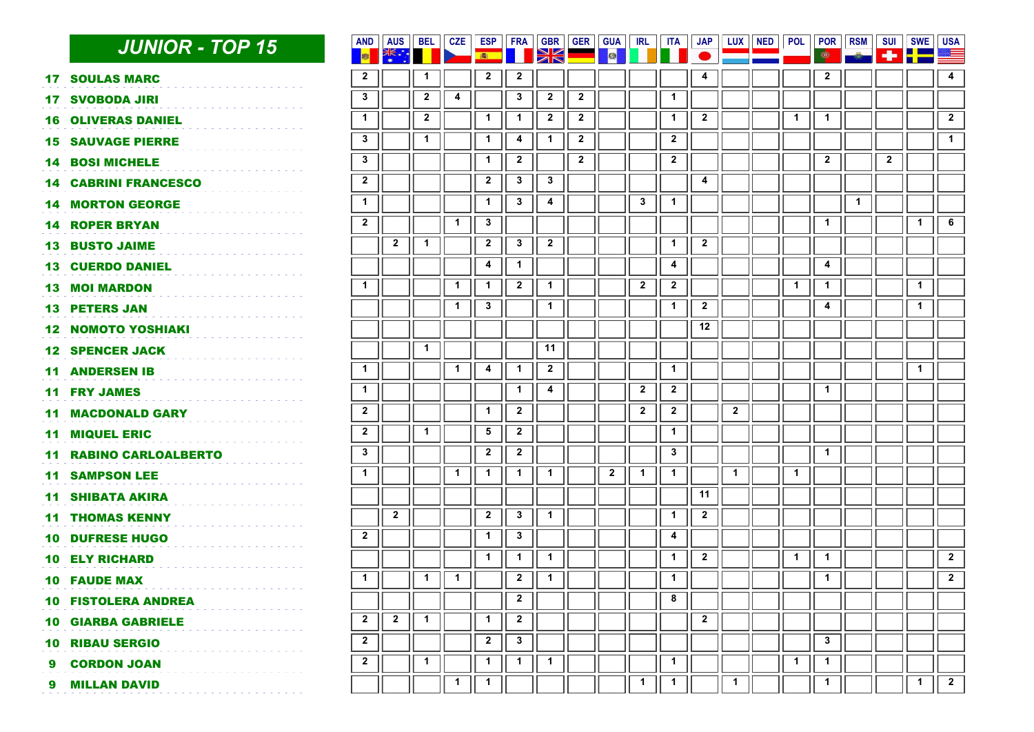|         | <b>JUNIOR - TOP 15</b>     | <b>AND</b><br><b>B</b>  | <b>AUS</b>              | <b>BEL</b>              | <b>CZE</b>   | <b>ESP</b><br>● | <b>FRA</b>     | <b>GBR</b><br>E | <b>GER</b>   | <b>GUA</b><br><b>A</b> | IRL                     | <b>ITA</b>              | <b>JAP</b>   | LUX                     | <b>NED</b> | POL POR      | $\bullet$    | <b>RSM</b>   | <b>SUI</b><br>÷         | <b>SWE</b>   | <b>USA</b><br>$\approx$ $=$ |
|---------|----------------------------|-------------------------|-------------------------|-------------------------|--------------|-----------------|----------------|-----------------|--------------|------------------------|-------------------------|-------------------------|--------------|-------------------------|------------|--------------|--------------|--------------|-------------------------|--------------|-----------------------------|
| 17.     | <b>SOULAS MARC</b>         | $\overline{\mathbf{2}}$ |                         | $\mathbf{1}$            |              | $\mathbf{2}$    | $\mathbf{2}$   |                 |              |                        |                         |                         | 4            |                         |            |              | $\mathbf{2}$ |              |                         |              | 4                           |
| 17      | <b>SVOBODA JIRI</b>        | $\mathbf{3}$            |                         | $\overline{\mathbf{2}}$ | 4            |                 | $\mathbf{3}$   | $\mathbf{2}$    | $\mathbf{2}$ |                        |                         | $\mathbf{1}$            |              |                         |            |              |              |              |                         |              |                             |
| 16      | <b>OLIVERAS DANIEL</b>     | $\mathbf{1}$            |                         | $\boldsymbol{2}$        |              | $\mathbf{1}$    | $\mathbf{1}$   | $\mathbf{2}$    | $\mathbf{2}$ |                        |                         | $\mathbf{1}$            | $\mathbf{2}$ |                         |            | 1            | 1            |              |                         |              | $\overline{\mathbf{2}}$     |
| 15      | <b>SAUVAGE PIERRE</b>      | $\mathbf{3}$            |                         | $\blacktriangleleft$    |              | $\mathbf{1}$    | 4              | $\mathbf{1}$    | $\mathbf{2}$ |                        |                         | $\mathbf{2}$            |              |                         |            |              |              |              |                         |              | $\overline{1}$              |
| 14.     | <b>BOSI MICHELE</b>        | $\mathbf{3}$            |                         |                         |              | $\mathbf{1}$    | $\mathbf{2}$   |                 | $\mathbf{2}$ |                        |                         | $\mathbf{2}$            |              |                         |            |              | $\mathbf{2}$ |              | $\overline{\mathbf{2}}$ |              |                             |
| 14      | <b>CABRINI FRANCESCO</b>   | $\overline{\mathbf{2}}$ |                         |                         |              | $\mathbf{2}$    | $\mathbf{3}$   | $\mathbf{3}$    |              |                        |                         |                         | 4            |                         |            |              |              |              |                         |              |                             |
| 14.     | <b>MORTON GEORGE</b>       | $\mathbf{1}$            |                         |                         |              | $\mathbf{1}$    | $\mathbf{3}$   | 4               |              |                        | $\mathbf{3}$            | $\mathbf{1}$            |              |                         |            |              |              | $\mathbf{1}$ |                         |              |                             |
| 14.     | <b>ROPER BRYAN</b>         | $\overline{\mathbf{2}}$ |                         |                         | $\mathbf 1$  | $\mathbf{3}$    |                |                 |              |                        |                         |                         |              |                         |            |              | $\mathbf{1}$ |              |                         | $\mathbf{1}$ | 6                           |
| 13.     | <b>BUSTO JAIME</b>         |                         | $\overline{\mathbf{2}}$ | $\overline{1}$          |              | $\mathbf{2}$    | $\mathbf{3}$   | $\mathbf{2}$    |              |                        |                         | $\mathbf{1}$            | $\mathbf{2}$ |                         |            |              |              |              |                         |              |                             |
| 13      | <b>CUERDO DANIEL</b>       |                         |                         |                         |              | 4               | $\mathbf 1$    |                 |              |                        |                         | 4                       |              |                         |            |              | 4            |              |                         |              |                             |
| 13.     | <b>MOI MARDON</b>          | $\mathbf{1}$            |                         |                         | $\mathbf{1}$ | $\mathbf{1}$    | $\overline{2}$ | $\mathbf{1}$    |              |                        | $\overline{2}$          | $\overline{\mathbf{2}}$ |              |                         |            | $\mathbf 1$  | $\mathbf{1}$ |              |                         | $\mathbf{1}$ |                             |
|         | <b>13 PETERS JAN</b>       |                         |                         |                         | $\mathbf{1}$ | $\mathbf{3}$    |                | $\mathbf{1}$    |              |                        |                         | $\mathbf{1}$            | $\mathbf{2}$ |                         |            |              | 4            |              |                         | $\mathbf 1$  |                             |
| $12 \,$ | <b>NOMOTO YOSHIAKI</b>     |                         |                         |                         |              |                 |                |                 |              |                        |                         |                         | 12           |                         |            |              |              |              |                         |              |                             |
| 12      | <b>SPENCER JACK</b>        |                         |                         | $\mathbf{1}$            |              |                 |                | 11              |              |                        |                         |                         |              |                         |            |              |              |              |                         |              |                             |
| 11      | <b>ANDERSEN IB</b>         | $\mathbf{1}$            |                         |                         | $\mathbf{1}$ | 4               | $\mathbf{1}$   | $\mathbf{2}$    |              |                        |                         | $\mathbf{1}$            |              |                         |            |              |              |              |                         | $\mathbf{1}$ |                             |
| 11      | <b>FRY JAMES</b>           | $\overline{1}$          |                         |                         |              |                 | $\mathbf 1$    | 4               |              |                        | $\overline{\mathbf{2}}$ | $\overline{\mathbf{2}}$ |              |                         |            |              | 1            |              |                         |              |                             |
| 11      | <b>MACDONALD GARY</b>      | $\overline{\mathbf{2}}$ |                         |                         |              | $\mathbf{1}$    | $\mathbf{2}$   |                 |              |                        | $\mathbf{2}$            | $\mathbf{2}$            |              | $\overline{\mathbf{2}}$ |            |              |              |              |                         |              |                             |
| 11      | <b>MIQUEL ERIC</b>         | $\mathbf{2}$            |                         | $\mathbf{1}$            |              | $\sqrt{5}$      | $\mathbf{2}$   |                 |              |                        |                         | $\mathbf{1}$            |              |                         |            |              |              |              |                         |              |                             |
| 11      | <b>RABINO CARLOALBERTO</b> | $\mathbf{3}$            |                         |                         |              | $\mathbf{2}$    | $\mathbf{2}$   |                 |              |                        |                         | $\mathbf{3}$            |              |                         |            |              | $\mathbf{1}$ |              |                         |              |                             |
| 11      | <b>SAMPSON LEE</b>         | $\mathbf{1}$            |                         |                         | $\mathbf{1}$ | $\mathbf{1}$    | $\mathbf{1}$   | $\mathbf{1}$    |              | $\mathbf{2}$           | $\overline{1}$          | $\mathbf{1}$            |              | $\mathbf{1}$            |            | $\mathbf{1}$ |              |              |                         |              |                             |
| 11      | <b>SHIBATA AKIRA</b>       |                         |                         |                         |              |                 |                |                 |              |                        |                         |                         | 11           |                         |            |              |              |              |                         |              |                             |
| 11      | <b>THOMAS KENNY</b>        |                         | $\mathbf{2}$            |                         |              | $\mathbf{2}$    | $\mathbf{3}$   | $\mathbf{1}$    |              |                        |                         | $\overline{1}$          | $\mathbf{2}$ |                         |            |              |              |              |                         |              |                             |
| 10.     | <b>DUFRESE HUGO</b>        | $\overline{\mathbf{2}}$ |                         |                         |              | $\mathbf{1}$    | $\mathbf{3}$   |                 |              |                        |                         | 4                       |              |                         |            |              |              |              |                         |              |                             |
| 10.     | <b>ELY RICHARD</b>         |                         |                         |                         |              | $\mathbf{1}$    | $\mathbf{1}$   | $\mathbf{1}$    |              |                        |                         | $\mathbf{1}$            | $\mathbf{2}$ |                         |            | $\mathbf{1}$ | $\mathbf{1}$ |              |                         |              | $\overline{2}$              |
|         | <b>10 FAUDE MAX</b>        | $\mathbf{1}$            |                         | $\mathbf{1}$            | $\mathbf{1}$ |                 | $\mathbf{2}$   | $\mathbf{1}$    |              |                        |                         | $\mathbf{1}$            |              |                         |            |              | $\mathbf{1}$ |              |                         |              | $\overline{\mathbf{2}}$     |
|         | <b>10 FISTOLERA ANDREA</b> |                         |                         |                         |              |                 | $\mathbf{2}$   |                 |              |                        |                         | 8                       |              |                         |            |              |              |              |                         |              |                             |
| 10      | <b>GIARBA GABRIELE</b>     | $\overline{\mathbf{2}}$ | $\mathbf{2}$            | $\mathbf{1}$            |              | $\mathbf{1}$    | $\mathbf{2}$   |                 |              |                        |                         |                         | $\mathbf{2}$ |                         |            |              |              |              |                         |              |                             |
| 10      | <b>RIBAU SERGIO</b>        | $\mathbf{2}$            |                         |                         |              | $\mathbf{2}$    | $\mathbf{3}$   |                 |              |                        |                         |                         |              |                         |            |              | 3            |              |                         |              |                             |
| 9       | <b>CORDON JOAN</b>         | $\overline{2}$          |                         | $\blacktriangleleft$    |              | $\mathbf{1}$    | $\mathbf 1$    | $\mathbf{1}$    |              |                        |                         | $\mathbf 1$             |              |                         |            | $\mathbf 1$  | $\mathbf{1}$ |              |                         |              |                             |
| 9       | <b>MILLAN DAVID</b>        |                         |                         |                         |              | $\mathbf 1$     |                |                 |              |                        | 1                       | $\mathbf{1}$            |              | $\mathbf{1}$            |            |              | 1            |              |                         | 1            | $\overline{2}$              |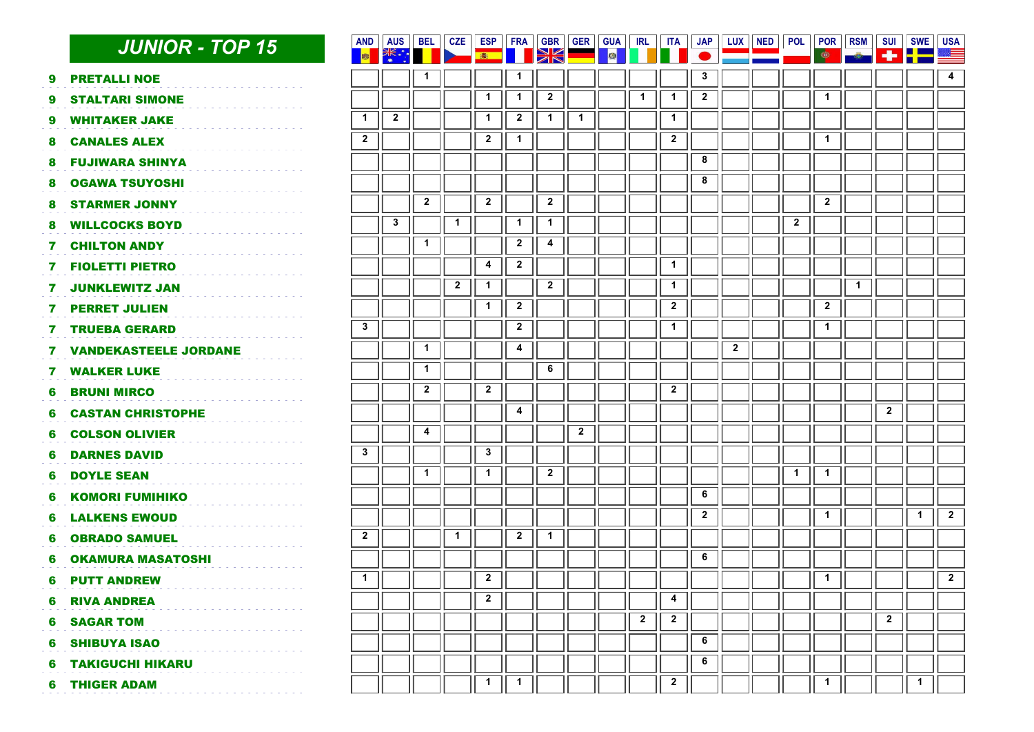|   | <b>JUNIOR - TOP 15</b>       | <b>AND</b><br><b>B</b>  | AUS<br>■ 米 * :• | <b>BEL</b>   | <b>CZE</b>   | ESP<br>高     | <b>FRA</b>     | <b>GBR</b><br>E         | <b>GER</b>              | <b>GUA</b><br>■ | <b>IRL</b>              | <b>ITA</b>   | <b>JAP</b>   | <b>LUX</b>   | <b>NED</b> | <b>POL</b>              | POR<br>$\bullet$        | <b>RSM</b>   | <b>SUI</b>              | <b>SWE</b><br>-1- P.C | <b>USA</b><br>ŧ         |
|---|------------------------------|-------------------------|-----------------|--------------|--------------|--------------|----------------|-------------------------|-------------------------|-----------------|-------------------------|--------------|--------------|--------------|------------|-------------------------|-------------------------|--------------|-------------------------|-----------------------|-------------------------|
| 9 | <b>PRETALLI NOE</b>          |                         |                 | $\mathbf{1}$ |              |              | 1              |                         |                         |                 |                         |              | $\mathbf{3}$ |              |            |                         |                         |              |                         |                       | $\overline{\mathbf{4}}$ |
| 9 | <b>STALTARI SIMONE</b>       |                         |                 |              |              | $\mathbf{1}$ | $\mathbf 1$    | $\overline{\mathbf{2}}$ |                         |                 | $\mathbf{1}$            | $\mathbf{1}$ | $\mathbf{2}$ |              |            |                         | $\mathbf{1}$            |              |                         |                       |                         |
| 9 | <b>WHITAKER JAKE</b>         | $\mathbf{1}$            | $\mathbf{2}$    |              |              | $\mathbf{1}$ | $\mathbf{2}$   | $\mathbf{1}$            | $\blacktriangleleft$    |                 |                         | $\mathbf{1}$ |              |              |            |                         |                         |              |                         |                       |                         |
| 8 | <b>CANALES ALEX</b>          | $\overline{\mathbf{2}}$ |                 |              |              | $\mathbf{2}$ | $\mathbf{1}$   |                         |                         |                 |                         | $\mathbf{2}$ |              |              |            |                         | $\mathbf{1}$            |              |                         |                       |                         |
| 8 | <b>FUJIWARA SHINYA</b>       |                         |                 |              |              |              |                |                         |                         |                 |                         |              | 8            |              |            |                         |                         |              |                         |                       |                         |
| 8 | <b>OGAWA TSUYOSHI</b>        |                         |                 |              |              |              |                |                         |                         |                 |                         |              | 8            |              |            |                         |                         |              |                         |                       |                         |
| 8 | <b>STARMER JONNY</b>         |                         |                 | $\mathbf{2}$ |              | $\mathbf{2}$ |                | $\mathbf{2}$            |                         |                 |                         |              |              |              |            |                         | $\overline{2}$          |              |                         |                       |                         |
| 8 | <b>WILLCOCKS BOYD</b>        |                         | $\mathbf{3}$    |              | 1            |              | $\mathbf{1}$   | $\mathbf{1}$            |                         |                 |                         |              |              |              |            | $\overline{\mathbf{2}}$ |                         |              |                         |                       |                         |
| 7 | <b>CHILTON ANDY</b>          |                         |                 | $\mathbf{1}$ |              |              | $\mathbf{2}$   | 4                       |                         |                 |                         |              |              |              |            |                         |                         |              |                         |                       |                         |
| 7 | <b>FIOLETTI PIETRO</b>       |                         |                 |              |              | 4            | $\overline{2}$ |                         |                         |                 |                         | $\mathbf{1}$ |              |              |            |                         |                         |              |                         |                       |                         |
| 7 | <b>JUNKLEWITZ JAN</b>        |                         |                 |              | $\mathbf{2}$ | $\mathbf{1}$ |                | $\mathbf{2}$            |                         |                 |                         | $\mathbf{1}$ |              |              |            |                         |                         | $\mathbf{1}$ |                         |                       |                         |
| 7 | <b>PERRET JULIEN</b>         |                         |                 |              |              | $\mathbf{1}$ | $\mathbf{2}$   |                         |                         |                 |                         | $\mathbf{2}$ |              |              |            |                         | $\overline{\mathbf{2}}$ |              |                         |                       |                         |
| 7 | <b>TRUEBA GERARD</b>         | $\mathbf{3}$            |                 |              |              |              | $\mathbf{2}$   |                         |                         |                 |                         | $\mathbf{1}$ |              |              |            |                         | $\mathbf{1}$            |              |                         |                       |                         |
| 7 | <b>VANDEKASTEELE JORDANE</b> |                         |                 | $\mathbf{1}$ |              |              | 4              |                         |                         |                 |                         |              |              | $\mathbf{2}$ |            |                         |                         |              |                         |                       |                         |
| 7 | <b>WALKER LUKE</b>           |                         |                 | $\mathbf{1}$ |              |              |                | 6                       |                         |                 |                         |              |              |              |            |                         |                         |              |                         |                       |                         |
| 6 | <b>BRUNI MIRCO</b>           |                         |                 | $\mathbf{2}$ |              | $\mathbf{2}$ |                |                         |                         |                 |                         | $\mathbf{2}$ |              |              |            |                         |                         |              |                         |                       |                         |
| 6 | <b>CASTAN CHRISTOPHE</b>     |                         |                 |              |              |              | 4              |                         |                         |                 |                         |              |              |              |            |                         |                         |              | $\overline{2}$          |                       |                         |
| 6 | <b>COLSON OLIVIER</b>        |                         |                 | 4            |              |              |                |                         | $\overline{\mathbf{2}}$ |                 |                         |              |              |              |            |                         |                         |              |                         |                       |                         |
| 6 | <b>DARNES DAVID</b>          | $\mathbf{3}$            |                 |              |              | $\mathbf{3}$ |                |                         |                         |                 |                         |              |              |              |            |                         |                         |              |                         |                       |                         |
| 6 | <b>DOYLE SEAN</b>            |                         |                 | $\mathbf{1}$ |              | $\mathbf{1}$ |                | $\overline{\mathbf{2}}$ |                         |                 |                         |              |              |              |            | $\mathbf{1}$            | $\mathbf{1}$            |              |                         |                       |                         |
| 6 | <b>KOMORI FUMIHIKO</b>       |                         |                 |              |              |              |                |                         |                         |                 |                         |              | 6            |              |            |                         |                         |              |                         |                       |                         |
| 6 | <b>LALKENS EWOUD</b>         |                         |                 |              |              |              |                |                         |                         |                 |                         |              | $\mathbf{2}$ |              |            |                         | $\mathbf{1}$            |              |                         | $\mathbf{1}$          | $\overline{2}$          |
| 6 | <b>OBRADO SAMUEL</b>         | $\mathbf{2}$            |                 |              | $\mathbf{1}$ |              | $\mathbf{2}$   | $\mathbf{1}$            |                         |                 |                         |              |              |              |            |                         |                         |              |                         |                       |                         |
| 6 | <b>OKAMURA MASATOSHI</b>     |                         |                 |              |              |              |                |                         |                         |                 |                         |              | 6            |              |            |                         |                         |              |                         |                       |                         |
| 6 | <b>PUTT ANDREW</b>           | $\overline{1}$          |                 |              |              | $\mathbf{2}$ |                |                         |                         |                 |                         |              |              |              |            |                         | $\mathbf{1}$            |              |                         |                       | $\overline{2}$          |
| 6 | <b>RIVA ANDREA</b>           |                         |                 |              |              | $\mathbf{2}$ |                |                         |                         |                 |                         | 4            |              |              |            |                         |                         |              |                         |                       |                         |
| 6 | <b>SAGAR TOM</b>             |                         |                 |              |              |              |                |                         |                         |                 | $\overline{\mathbf{2}}$ | $\mathbf{2}$ |              |              |            |                         |                         |              | $\overline{\mathbf{2}}$ |                       |                         |
| 6 | <b>SHIBUYA ISAO</b>          |                         |                 |              |              |              |                |                         |                         |                 |                         |              | 6            |              |            |                         |                         |              |                         |                       |                         |
| 6 | <b>TAKIGUCHI HIKARU</b>      |                         |                 |              |              |              |                |                         |                         |                 |                         |              | 6            |              |            |                         |                         |              |                         |                       |                         |
| 6 | <b>THIGER ADAM</b>           |                         |                 |              |              | $\mathbf{1}$ | 1              |                         |                         |                 |                         | $\mathbf{2}$ |              |              |            |                         | 1                       |              |                         | $\mathbf{1}$          |                         |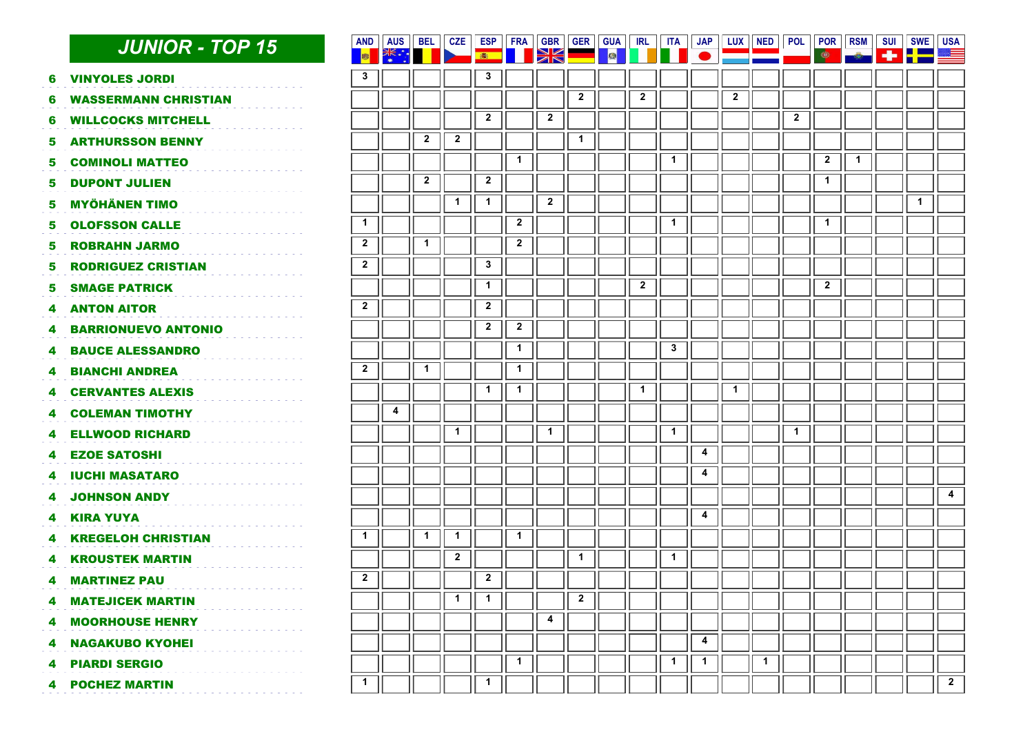|    | <b>JUNIOR - TOP 15</b>                                 | <b>AND</b><br>■■ | <b>AUS</b> | <b>BEL</b>   | <b>CZE</b>   | ESP<br>画       | FRA            | <b>GBR</b><br>XK        | <b>GER</b>     | <b>GUA</b><br>國 | <b>IRL</b>              | <b>ITA</b>   | <b>JAP</b>              | $LUX \parallel NED$     |              | <b>POL</b>   | POR<br>۱                | <b>RSM</b>   | <b>SUI</b><br>÷ | <b>SWE</b><br><u>i gjeom</u> | <b>USA</b><br>≋≡ |
|----|--------------------------------------------------------|------------------|------------|--------------|--------------|----------------|----------------|-------------------------|----------------|-----------------|-------------------------|--------------|-------------------------|-------------------------|--------------|--------------|-------------------------|--------------|-----------------|------------------------------|------------------|
|    | <b>VINYOLES JORDI</b>                                  | $\mathbf{3}$     |            |              |              | $\mathbf 3$    |                |                         |                |                 |                         |              |                         |                         |              |              |                         |              |                 |                              |                  |
| 6  |                                                        |                  |            |              |              |                |                |                         | $\overline{2}$ |                 | $\overline{2}$          |              |                         | $\overline{\mathbf{2}}$ |              |              |                         |              |                 |                              |                  |
| 6  | <b>WASSERMANN CHRISTIAN</b>                            |                  |            |              |              | $\overline{2}$ |                | $\overline{\mathbf{2}}$ |                |                 |                         |              |                         |                         |              | $\mathbf{2}$ |                         |              |                 |                              |                  |
| 6  | <b>WILLCOCKS MITCHELL</b>                              |                  |            |              |              |                |                |                         |                |                 |                         |              |                         |                         |              |              |                         |              |                 |                              |                  |
| 5  | <b>ARTHURSSON BENNY</b>                                |                  |            | $\mathbf{2}$ | $\mathbf{2}$ |                |                |                         | $\mathbf 1$    |                 |                         |              |                         |                         |              |              |                         |              |                 |                              |                  |
| 5. | <b>COMINOLI MATTEO</b>                                 |                  |            |              |              |                | $\mathbf{1}$   |                         |                |                 |                         | $\mathbf{1}$ |                         |                         |              |              | $\overline{\mathbf{2}}$ | $\mathbf{1}$ |                 |                              |                  |
| 5  | <b>DUPONT JULIEN</b>                                   |                  |            | $\mathbf{2}$ |              | $\overline{2}$ |                |                         |                |                 |                         |              |                         |                         |              |              | $\mathbf{1}$            |              |                 |                              |                  |
| 5  | <b>MYÖHÄNEN TIMO</b>                                   |                  |            |              | $\mathbf{1}$ | $\mathbf{1}$   |                | $\overline{2}$          |                |                 |                         |              |                         |                         |              |              |                         |              |                 | $\mathbf{1}$                 |                  |
| 5. | <b>OLOFSSON CALLE</b>                                  | $\mathbf 1$      |            |              |              |                | $\overline{2}$ |                         |                |                 |                         | $\mathbf{1}$ |                         |                         |              |              | $\mathbf{1}$            |              |                 |                              |                  |
| 5. | <b>ROBRAHN JARMO</b>                                   | $\mathbf{2}$     |            | 1            |              |                | $\mathbf{2}$   |                         |                |                 |                         |              |                         |                         |              |              |                         |              |                 |                              |                  |
| 5  | <b>RODRIGUEZ CRISTIAN</b>                              | $\mathbf{2}$     |            |              |              | $\mathbf{3}$   |                |                         |                |                 |                         |              |                         |                         |              |              |                         |              |                 |                              |                  |
| 5. | <b>SMAGE PATRICK</b>                                   |                  |            |              |              | $\mathbf{1}$   |                |                         |                |                 | $\overline{\mathbf{2}}$ |              |                         |                         |              |              | $\overline{2}$          |              |                 |                              |                  |
| 4  | <b>ANTON AITOR</b>                                     | $\mathbf{2}$     |            |              |              | $\mathbf{2}$   |                |                         |                |                 |                         |              |                         |                         |              |              |                         |              |                 |                              |                  |
| 4  | <b>BARRIONUEVO ANTONIO</b>                             |                  |            |              |              | $\overline{2}$ | $\mathbf{2}$   |                         |                |                 |                         |              |                         |                         |              |              |                         |              |                 |                              |                  |
| 4  | <b>BAUCE ALESSANDRO</b>                                |                  |            |              |              |                | $\mathbf{1}$   |                         |                |                 |                         | $\mathbf{3}$ |                         |                         |              |              |                         |              |                 |                              |                  |
| 4  | <b>BIANCHI ANDREA</b>                                  | $\mathbf{2}$     |            | $\mathbf{1}$ |              |                | $\mathbf{1}$   |                         |                |                 |                         |              |                         |                         |              |              |                         |              |                 |                              |                  |
| 4  | <b>CERVANTES ALEXIS</b>                                |                  |            |              |              | $\mathbf 1$    | $\mathbf{1}$   |                         |                |                 | $\mathbf 1$             |              |                         | $\mathbf{1}$            |              |              |                         |              |                 |                              |                  |
| 4  | <b>COLEMAN TIMOTHY</b>                                 |                  | 4          |              |              |                |                |                         |                |                 |                         |              |                         |                         |              |              |                         |              |                 |                              |                  |
| 4  | <b>ELLWOOD RICHARD</b>                                 |                  |            |              | $\mathbf{1}$ |                |                | $\mathbf{1}$            |                |                 |                         | $\mathbf{1}$ |                         |                         |              | $\mathbf{1}$ |                         |              |                 |                              |                  |
|    | <b>EZOE SATOSHI</b>                                    |                  |            |              |              |                |                |                         |                |                 |                         |              | $\overline{\mathbf{4}}$ |                         |              |              |                         |              |                 |                              |                  |
| 4  | <b>IUCHI MASATARO</b>                                  |                  |            |              |              |                |                |                         |                |                 |                         |              | $\pmb{4}$               |                         |              |              |                         |              |                 |                              |                  |
| 4  | <b>JOHNSON ANDY</b>                                    |                  |            |              |              |                |                |                         |                |                 |                         |              |                         |                         |              |              |                         |              |                 |                              | 4                |
| 4  | <b>KIRA YUYA</b>                                       |                  |            |              |              |                |                |                         |                |                 |                         |              | 4                       |                         |              |              |                         |              |                 |                              |                  |
| 4  | <b>KREGELOH CHRISTIAN</b>                              | $\mathbf{1}$     |            | $\mathbf{1}$ | $\mathbf 1$  |                | $\mathbf 1$    |                         |                |                 |                         |              |                         |                         |              |              |                         |              |                 |                              |                  |
|    | <b>KROUSTEK MARTIN</b>                                 |                  |            |              | $\mathbf{2}$ |                |                |                         | $\mathbf{1}$   |                 |                         | $\mathbf{1}$ |                         |                         |              |              |                         |              |                 |                              |                  |
| 4  | <b>MARTINEZ PAU</b><br>and a signal and a signal and a | $\mathbf{2}$     |            |              |              | $\mathbf{2}$   |                |                         |                |                 |                         |              |                         |                         |              |              |                         |              |                 |                              |                  |
| 4  | <b>MATEJICEK MARTIN</b>                                |                  |            |              | $\mathbf{1}$ | $\mathbf{1}$   |                |                         | $\overline{2}$ |                 |                         |              |                         |                         |              |              |                         |              |                 |                              |                  |
| 4  | <b>MOORHOUSE HENRY</b>                                 |                  |            |              |              |                |                | 4                       |                |                 |                         |              |                         |                         |              |              |                         |              |                 |                              |                  |
| 4  | <b>NAGAKUBO KYOHEI</b>                                 |                  |            |              |              |                |                |                         |                |                 |                         |              | $\overline{\mathbf{4}}$ |                         |              |              |                         |              |                 |                              |                  |
| 4  | <b>PIARDI SERGIO</b>                                   |                  |            |              |              |                | $\mathbf{1}$   |                         |                |                 |                         | $\mathbf{1}$ | $\mathbf{1}$            |                         | $\mathbf{1}$ |              |                         |              |                 |                              |                  |
|    | <b>4 POCHEZ MARTIN</b>                                 | $\mathbf{1}$     |            |              |              | 1              |                |                         |                |                 |                         |              |                         |                         |              |              |                         |              |                 |                              | $\overline{2}$   |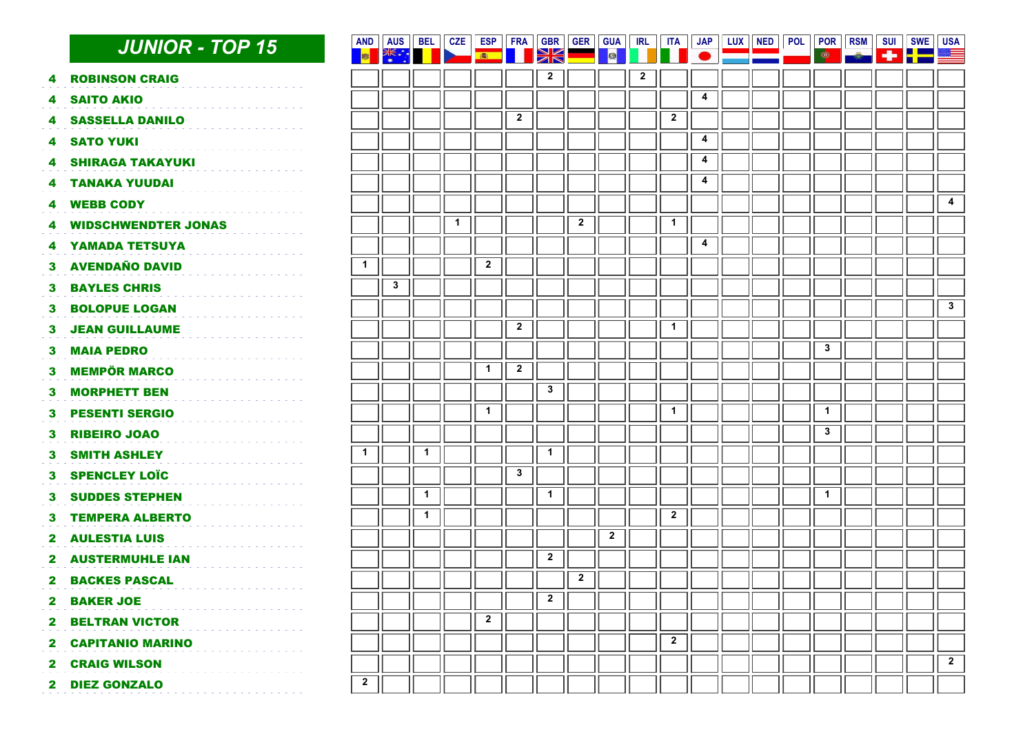|                | <b>JUNIOR - TOP 15</b>     | <b>AND</b><br><b>BEE</b> | <b>AUS</b><br>美 … | <b>BEL</b>   | <b>CZE</b>   | ESP<br>高     | <b>FRA</b>              | <b>GBR</b><br>XK | <b>GER</b>              | <b>GUA</b><br><b>A</b> | <b>IRL</b>   | <b>ITA</b>     | <b>JAP</b> | LUX    NED | <b>POL</b> | <b>POR</b> RSM<br>$\bullet$ | <b>SUI</b> | <b>SWE</b><br>145 <b>P.E.S</b> | <b>USA</b><br><u>a a</u> |
|----------------|----------------------------|--------------------------|-------------------|--------------|--------------|--------------|-------------------------|------------------|-------------------------|------------------------|--------------|----------------|------------|------------|------------|-----------------------------|------------|--------------------------------|--------------------------|
| 4              | <b>ROBINSON CRAIG</b>      |                          |                   |              |              |              |                         | $\mathbf{2}$     |                         |                        | $\mathbf{2}$ |                |            |            |            |                             |            |                                |                          |
| 4              | <b>SAITO AKIO</b>          |                          |                   |              |              |              |                         |                  |                         |                        |              |                | 4          |            |            |                             |            |                                |                          |
| 4              | <b>SASSELLA DANILO</b>     |                          |                   |              |              |              | $\overline{\mathbf{2}}$ |                  |                         |                        |              | $\mathbf{2}$   |            |            |            |                             |            |                                |                          |
| 4              | <b>SATO YUKI</b>           |                          |                   |              |              |              |                         |                  |                         |                        |              |                | 4          |            |            |                             |            |                                |                          |
| 4              | <b>SHIRAGA TAKAYUKI</b>    |                          |                   |              |              |              |                         |                  |                         |                        |              |                | 4          |            |            |                             |            |                                |                          |
| 4              | <b>TANAKA YUUDAI</b>       |                          |                   |              |              |              |                         |                  |                         |                        |              |                | 4          |            |            |                             |            |                                |                          |
| 4              | <b>WEBB CODY</b>           |                          |                   |              |              |              |                         |                  |                         |                        |              |                |            |            |            |                             |            |                                | $\overline{\mathbf{4}}$  |
| 4              | <b>WIDSCHWENDTER JONAS</b> |                          |                   |              | $\mathbf{1}$ |              |                         |                  | $\overline{\mathbf{2}}$ |                        |              | $\mathbf{1}$   |            |            |            |                             |            |                                |                          |
| 4              | YAMADA TETSUYA             |                          |                   |              |              |              |                         |                  |                         |                        |              |                | 4          |            |            |                             |            |                                |                          |
| З.             | <b>AVENDAÑO DAVID</b>      | $\mathbf 1$              |                   |              |              | $\mathbf{2}$ |                         |                  |                         |                        |              |                |            |            |            |                             |            |                                |                          |
| 3              | <b>BAYLES CHRIS</b>        |                          | $\mathbf{3}$      |              |              |              |                         |                  |                         |                        |              |                |            |            |            |                             |            |                                |                          |
| з              | <b>BOLOPUE LOGAN</b>       |                          |                   |              |              |              |                         |                  |                         |                        |              |                |            |            |            |                             |            |                                | $\overline{\mathbf{3}}$  |
| 3.             | <b>JEAN GUILLAUME</b>      |                          |                   |              |              |              | $\overline{2}$          |                  |                         |                        |              | $\mathbf 1$    |            |            |            |                             |            |                                |                          |
| 3.             | <b>MAIA PEDRO</b>          |                          |                   |              |              |              |                         |                  |                         |                        |              |                |            |            |            | $\mathbf{3}$                |            |                                |                          |
| 3              | <b>MEMPÖR MARCO</b>        |                          |                   |              |              | $\mathbf{1}$ | $\overline{\mathbf{2}}$ |                  |                         |                        |              |                |            |            |            |                             |            |                                |                          |
| 3              | <b>MORPHETT BEN</b>        |                          |                   |              |              |              |                         | $\mathbf{3}$     |                         |                        |              |                |            |            |            |                             |            |                                |                          |
| 3.             | <b>PESENTI SERGIO</b>      |                          |                   |              |              | $\mathbf{1}$ |                         |                  |                         |                        |              | $\mathbf{1}$   |            |            |            | $\mathbf{1}$                |            |                                |                          |
| 3              | <b>RIBEIRO JOAO</b>        |                          |                   |              |              |              |                         |                  |                         |                        |              |                |            |            |            | $\mathbf{3}$                |            |                                |                          |
| 3              | <b>SMITH ASHLEY</b>        | $\mathbf{1}$             |                   | $\mathbf{1}$ |              |              |                         | $\mathbf{1}$     |                         |                        |              |                |            |            |            |                             |            |                                |                          |
| 3.             | <b>SPENCLEY LOÏC</b>       |                          |                   |              |              |              | $\mathbf{3}$            |                  |                         |                        |              |                |            |            |            |                             |            |                                |                          |
| 3.             | <b>SUDDES STEPHEN</b>      |                          |                   | $\mathbf{1}$ |              |              |                         | $\mathbf{1}$     |                         |                        |              |                |            |            |            | $\blacktriangleleft$        |            |                                |                          |
| 3.             | <b>TEMPERA ALBERTO</b>     |                          |                   | $\mathbf{1}$ |              |              |                         |                  |                         |                        |              | $\overline{2}$ |            |            |            |                             |            |                                |                          |
| 2              | <b>AULESTIA LUIS</b>       |                          |                   |              |              |              |                         |                  |                         | $\mathbf{2}$           |              |                |            |            |            |                             |            |                                |                          |
| 2.             | <b>AUSTERMUHLE IAN</b>     |                          |                   |              |              |              |                         | $\overline{2}$   |                         |                        |              |                |            |            |            |                             |            |                                |                          |
| 2              | <b>BACKES PASCAL</b>       |                          |                   |              |              |              |                         |                  | $\overline{2}$          |                        |              |                |            |            |            |                             |            |                                |                          |
| $\mathbf{z}$   | <b>BAKER JOE</b>           |                          |                   |              |              |              |                         | $\mathbf{2}$     |                         |                        |              |                |            |            |            |                             |            |                                |                          |
| $\mathbf{2}$   | <b>BELTRAN VICTOR</b>      |                          |                   |              |              | $\mathbf{2}$ |                         |                  |                         |                        |              |                |            |            |            |                             |            |                                |                          |
| $\mathbf{2}$   | <b>CAPITANIO MARINO</b>    |                          |                   |              |              |              |                         |                  |                         |                        |              | $\mathbf{2}$   |            |            |            |                             |            |                                |                          |
| $\mathbf{2}^-$ | <b>CRAIG WILSON</b>        |                          |                   |              |              |              |                         |                  |                         |                        |              |                |            |            |            |                             |            |                                | $\overline{2}$           |
| $\mathbf{2}$   | <b>DIEZ GONZALO</b>        | $\mathbf{2}$             |                   |              |              |              |                         |                  |                         |                        |              |                |            |            |            |                             |            |                                |                          |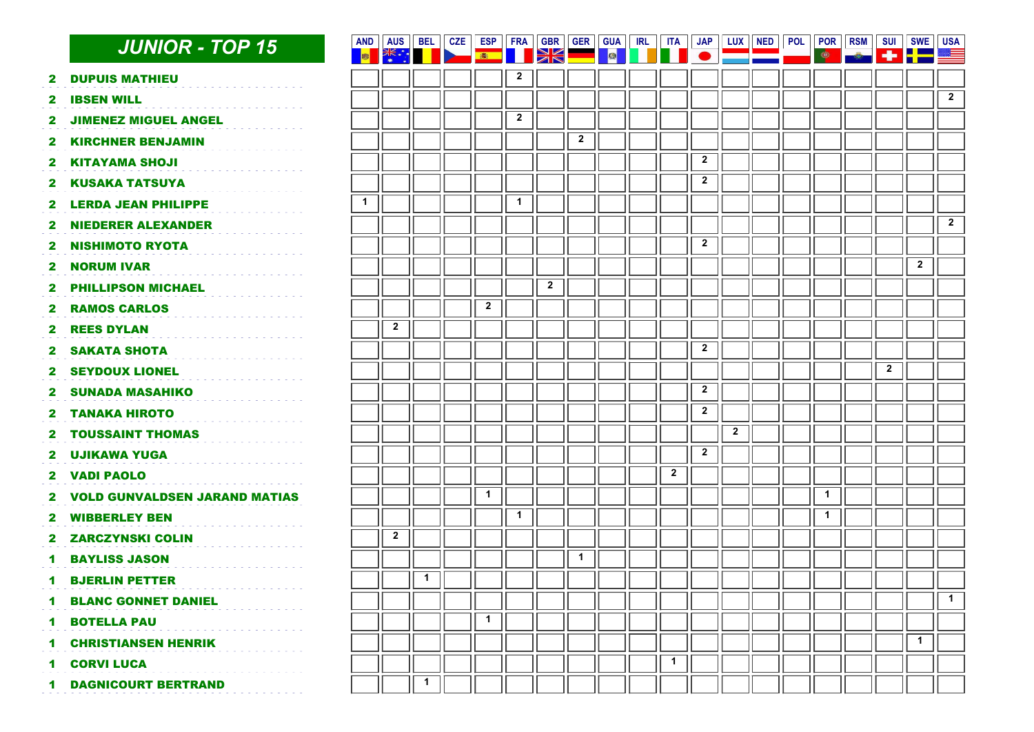|                      | <b>JUNIOR - TOP 15</b>               | <b>AND</b><br><b>ISS</b> | <b>AUS</b><br>一张 | <b>BEL</b>   | $CZE \parallel ESP$ | 画            | FRA          | <b>GBR</b><br>INKI | <b>GER</b>     | <b>GUA</b><br>■ | <b>IRL</b> | ITA          | JAP                     |              | LUX   NED | $\bullet$    | POL    POR    RSM    SUI |                         | SWE USA<br>$+$ $-$      | S.             |
|----------------------|--------------------------------------|--------------------------|------------------|--------------|---------------------|--------------|--------------|--------------------|----------------|-----------------|------------|--------------|-------------------------|--------------|-----------|--------------|--------------------------|-------------------------|-------------------------|----------------|
| 2                    | <b>DUPUIS MATHIEU</b>                |                          |                  |              |                     |              | $\mathbf{2}$ |                    |                |                 |            |              |                         |              |           |              |                          |                         |                         |                |
| 2                    | <b>IBSEN WILL</b>                    |                          |                  |              |                     |              |              |                    |                |                 |            |              |                         |              |           |              |                          |                         |                         | $\overline{2}$ |
| 2                    | <b>JIMENEZ MIGUEL ANGEL</b>          |                          |                  |              |                     |              | $\mathbf{2}$ |                    |                |                 |            |              |                         |              |           |              |                          |                         |                         |                |
| 2                    | <b>KIRCHNER BENJAMIN</b>             |                          |                  |              |                     |              |              |                    | $\overline{2}$ |                 |            |              |                         |              |           |              |                          |                         |                         |                |
| 2                    | <b>KITAYAMA SHOJI</b>                |                          |                  |              |                     |              |              |                    |                |                 |            |              | $\mathbf{2}$            |              |           |              |                          |                         |                         |                |
| 2                    | <b>KUSAKA TATSUYA</b>                |                          |                  |              |                     |              |              |                    |                |                 |            |              | $\mathbf{2}$            |              |           |              |                          |                         |                         |                |
| 2                    | <b>LERDA JEAN PHILIPPE</b>           | $\mathbf 1$              |                  |              |                     |              | $\mathbf{1}$ |                    |                |                 |            |              |                         |              |           |              |                          |                         |                         |                |
| 2                    | <b>NIEDERER ALEXANDER</b>            |                          |                  |              |                     |              |              |                    |                |                 |            |              |                         |              |           |              |                          |                         |                         | $\overline{2}$ |
| 2                    | <b>NISHIMOTO RYOTA</b>               |                          |                  |              |                     |              |              |                    |                |                 |            |              | $\mathbf{2}$            |              |           |              |                          |                         |                         |                |
| 2                    | <b>NORUM IVAR</b>                    |                          |                  |              |                     |              |              |                    |                |                 |            |              |                         |              |           |              |                          |                         | $\overline{\mathbf{2}}$ |                |
| 2                    | <b>PHILLIPSON MICHAEL</b>            |                          |                  |              |                     |              |              | $\overline{2}$     |                |                 |            |              |                         |              |           |              |                          |                         |                         |                |
| 2                    | <b>RAMOS CARLOS</b>                  |                          |                  |              |                     | $\mathbf{2}$ |              |                    |                |                 |            |              |                         |              |           |              |                          |                         |                         |                |
| 2                    | <b>REES DYLAN</b>                    |                          | $\mathbf{2}$     |              |                     |              |              |                    |                |                 |            |              |                         |              |           |              |                          |                         |                         |                |
| 2                    | <b>SAKATA SHOTA</b>                  |                          |                  |              |                     |              |              |                    |                |                 |            |              | $\overline{2}$          |              |           |              |                          |                         |                         |                |
| 2                    | <b>SEYDOUX LIONEL</b>                |                          |                  |              |                     |              |              |                    |                |                 |            |              |                         |              |           |              |                          | $\overline{\mathbf{2}}$ |                         |                |
| 2.                   | <b>SUNADA MASAHIKO</b>               |                          |                  |              |                     |              |              |                    |                |                 |            |              | $\overline{\mathbf{2}}$ |              |           |              |                          |                         |                         |                |
| 2                    | <b>TANAKA HIROTO</b>                 |                          |                  |              |                     |              |              |                    |                |                 |            |              | $\overline{\mathbf{2}}$ |              |           |              |                          |                         |                         |                |
| 2                    | <b>TOUSSAINT THOMAS</b>              |                          |                  |              |                     |              |              |                    |                |                 |            |              |                         | $\mathbf{2}$ |           |              |                          |                         |                         |                |
| 2                    | <b>UJIKAWA YUGA</b>                  |                          |                  |              |                     |              |              |                    |                |                 |            |              | $\overline{2}$          |              |           |              |                          |                         |                         |                |
| 2                    | <b>VADI PAOLO</b>                    |                          |                  |              |                     |              |              |                    |                |                 |            | $\mathbf{2}$ |                         |              |           |              |                          |                         |                         |                |
| 2.                   | <b>VOLD GUNVALDSEN JARAND MATIAS</b> |                          |                  |              |                     | $\mathbf{1}$ |              |                    |                |                 |            |              |                         |              |           | 1            |                          |                         |                         |                |
| 2                    | <b>WIBBERLEY BEN</b>                 |                          |                  |              |                     |              | $\mathbf{1}$ |                    |                |                 |            |              |                         |              |           | $\mathbf{1}$ |                          |                         |                         |                |
| 2                    | <b>ZARCZYNSKI COLIN</b>              |                          | $\mathbf{2}$     |              |                     |              |              |                    |                |                 |            |              |                         |              |           |              |                          |                         |                         |                |
| 1                    | <b>BAYLISS JASON</b>                 |                          |                  |              |                     |              |              |                    | $\mathbf{1}$   |                 |            |              |                         |              |           |              |                          |                         |                         |                |
| 1                    | <b>BJERLIN PETTER</b>                |                          |                  | $\mathbf{1}$ |                     |              |              |                    |                |                 |            |              |                         |              |           |              |                          |                         |                         |                |
| 1.                   | <b>BLANC GONNET DANIEL</b>           |                          |                  |              |                     |              |              |                    |                |                 |            |              |                         |              |           |              |                          |                         |                         | $\mathbf{1}$   |
| $\blacktriangleleft$ | <b>BOTELLA PAU</b>                   |                          |                  |              |                     | $\mathbf{1}$ |              |                    |                |                 |            |              |                         |              |           |              |                          |                         |                         |                |
| 1.                   | <b>CHRISTIANSEN HENRIK</b>           |                          |                  |              |                     |              |              |                    |                |                 |            |              |                         |              |           |              |                          |                         | $\mathbf 1$             |                |
| 1.                   | <b>CORVI LUCA</b>                    |                          |                  |              |                     |              |              |                    |                |                 |            | $\mathbf{1}$ |                         |              |           |              |                          |                         |                         |                |
| $\mathbf 1$          | <b>DAGNICOURT BERTRAND</b>           |                          |                  | $\mathbf{1}$ |                     |              |              |                    |                |                 |            |              |                         |              |           |              |                          |                         |                         |                |